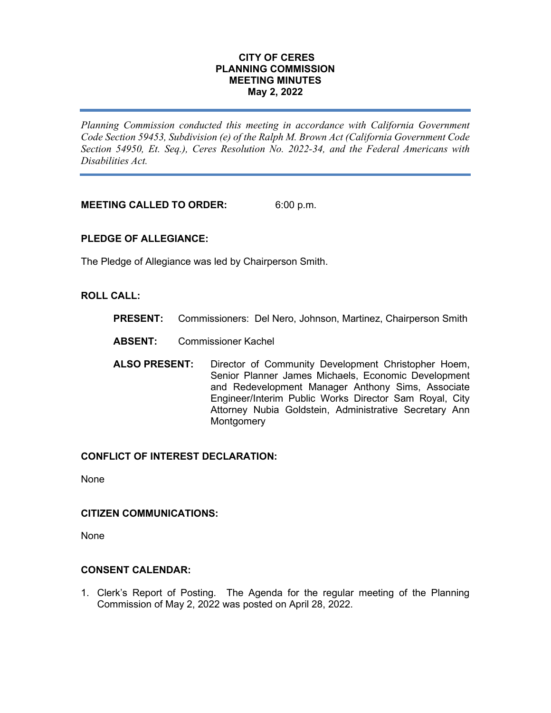# **CITY OF CERES PLANNING COMMISSION MEETING MINUTES May 2, 2022**

*Planning Commission conducted this meeting in accordance with California Government Code Section 59453, Subdivision (e) of the Ralph M. Brown Act (California Government Code Section 54950, Et. Seq.), Ceres Resolution No. 2022-34, and the Federal Americans with Disabilities Act.*

**MEETING CALLED TO ORDER:** 6:00 p.m.

# **PLEDGE OF ALLEGIANCE:**

The Pledge of Allegiance was led by Chairperson Smith.

# **ROLL CALL:**

- **PRESENT:** Commissioners: Del Nero, Johnson, Martinez, Chairperson Smith
- **ABSENT:** Commissioner Kachel
- **ALSO PRESENT:** Director of Community Development Christopher Hoem, Senior Planner James Michaels, Economic Development and Redevelopment Manager Anthony Sims, Associate Engineer/Interim Public Works Director Sam Royal, City Attorney Nubia Goldstein, Administrative Secretary Ann **Montgomery**

## **CONFLICT OF INTEREST DECLARATION:**

None

### **CITIZEN COMMUNICATIONS:**

None

# **CONSENT CALENDAR:**

1. Clerk's Report of Posting. The Agenda for the regular meeting of the Planning Commission of May 2, 2022 was posted on April 28, 2022.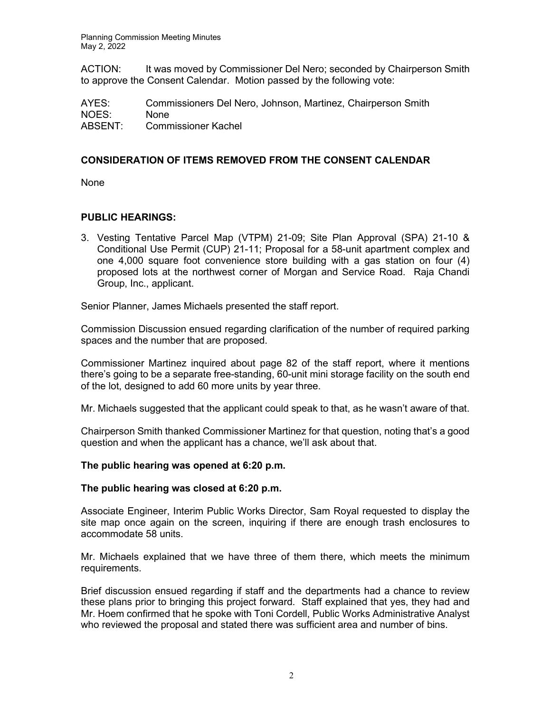Planning Commission Meeting Minutes May 2, 2022

ACTION: It was moved by Commissioner Del Nero; seconded by Chairperson Smith to approve the Consent Calendar. Motion passed by the following vote:

AYES: Commissioners Del Nero, Johnson, Martinez, Chairperson Smith NOES: None ABSENT: Commissioner Kachel

# **CONSIDERATION OF ITEMS REMOVED FROM THE CONSENT CALENDAR**

None

# **PUBLIC HEARINGS:**

3. Vesting Tentative Parcel Map (VTPM) 21-09; Site Plan Approval (SPA) 21-10 & Conditional Use Permit (CUP) 21-11; Proposal for a 58-unit apartment complex and one 4,000 square foot convenience store building with a gas station on four (4) proposed lots at the northwest corner of Morgan and Service Road. Raja Chandi Group, Inc., applicant.

Senior Planner, James Michaels presented the staff report.

Commission Discussion ensued regarding clarification of the number of required parking spaces and the number that are proposed.

Commissioner Martinez inquired about page 82 of the staff report, where it mentions there's going to be a separate free-standing, 60-unit mini storage facility on the south end of the lot, designed to add 60 more units by year three.

Mr. Michaels suggested that the applicant could speak to that, as he wasn't aware of that.

Chairperson Smith thanked Commissioner Martinez for that question, noting that's a good question and when the applicant has a chance, we'll ask about that.

## **The public hearing was opened at 6:20 p.m.**

## **The public hearing was closed at 6:20 p.m.**

Associate Engineer, Interim Public Works Director, Sam Royal requested to display the site map once again on the screen, inquiring if there are enough trash enclosures to accommodate 58 units.

Mr. Michaels explained that we have three of them there, which meets the minimum requirements.

Brief discussion ensued regarding if staff and the departments had a chance to review these plans prior to bringing this project forward. Staff explained that yes, they had and Mr. Hoem confirmed that he spoke with Toni Cordell, Public Works Administrative Analyst who reviewed the proposal and stated there was sufficient area and number of bins.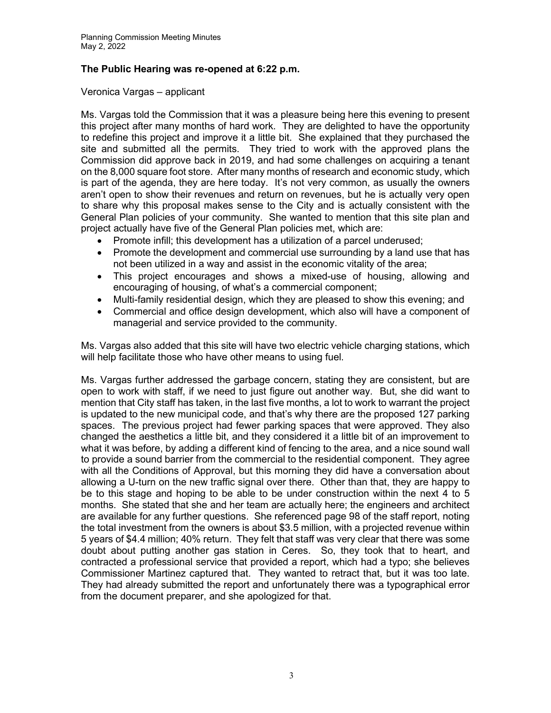# **The Public Hearing was re-opened at 6:22 p.m.**

# Veronica Vargas – applicant

Ms. Vargas told the Commission that it was a pleasure being here this evening to present this project after many months of hard work. They are delighted to have the opportunity to redefine this project and improve it a little bit. She explained that they purchased the site and submitted all the permits. They tried to work with the approved plans the Commission did approve back in 2019, and had some challenges on acquiring a tenant on the 8,000 square foot store. After many months of research and economic study, which is part of the agenda, they are here today. It's not very common, as usually the owners aren't open to show their revenues and return on revenues, but he is actually very open to share why this proposal makes sense to the City and is actually consistent with the General Plan policies of your community. She wanted to mention that this site plan and project actually have five of the General Plan policies met, which are:

- Promote infill; this development has a utilization of a parcel underused;
- Promote the development and commercial use surrounding by a land use that has not been utilized in a way and assist in the economic vitality of the area;
- This project encourages and shows a mixed-use of housing, allowing and encouraging of housing, of what's a commercial component;
- Multi-family residential design, which they are pleased to show this evening; and
- Commercial and office design development, which also will have a component of managerial and service provided to the community.

Ms. Vargas also added that this site will have two electric vehicle charging stations, which will help facilitate those who have other means to using fuel.

Ms. Vargas further addressed the garbage concern, stating they are consistent, but are open to work with staff, if we need to just figure out another way. But, she did want to mention that City staff has taken, in the last five months, a lot to work to warrant the project is updated to the new municipal code, and that's why there are the proposed 127 parking spaces. The previous project had fewer parking spaces that were approved. They also changed the aesthetics a little bit, and they considered it a little bit of an improvement to what it was before, by adding a different kind of fencing to the area, and a nice sound wall to provide a sound barrier from the commercial to the residential component. They agree with all the Conditions of Approval, but this morning they did have a conversation about allowing a U-turn on the new traffic signal over there. Other than that, they are happy to be to this stage and hoping to be able to be under construction within the next 4 to 5 months. She stated that she and her team are actually here; the engineers and architect are available for any further questions. She referenced page 98 of the staff report, noting the total investment from the owners is about \$3.5 million, with a projected revenue within 5 years of \$4.4 million; 40% return. They felt that staff was very clear that there was some doubt about putting another gas station in Ceres. So, they took that to heart, and contracted a professional service that provided a report, which had a typo; she believes Commissioner Martinez captured that. They wanted to retract that, but it was too late. They had already submitted the report and unfortunately there was a typographical error from the document preparer, and she apologized for that.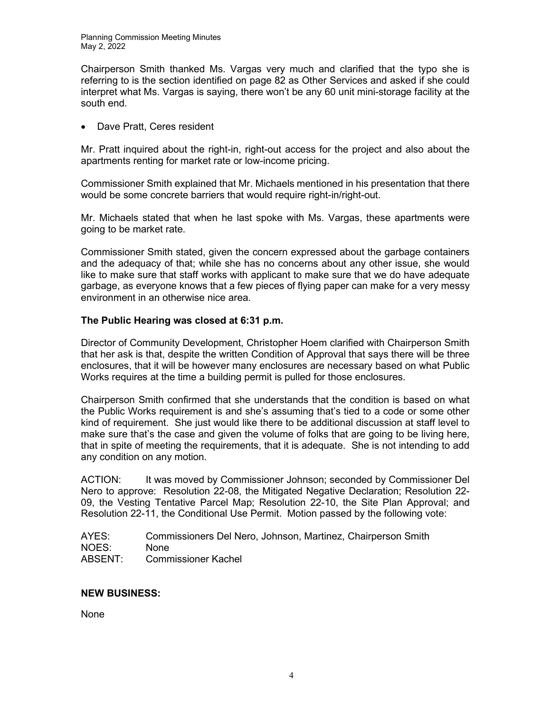Chairperson Smith thanked Ms. Vargas very much and clarified that the typo she is referring to is the section identified on page 82 as Other Services and asked if she could interpret what Ms. Vargas is saying, there won't be any 60 unit mini-storage facility at the south end.

• Dave Pratt, Ceres resident

Mr. Pratt inquired about the right-in, right-out access for the project and also about the apartments renting for market rate or low-income pricing.

Commissioner Smith explained that Mr. Michaels mentioned in his presentation that there would be some concrete barriers that would require right-in/right-out.

Mr. Michaels stated that when he last spoke with Ms. Vargas, these apartments were going to be market rate.

Commissioner Smith stated, given the concern expressed about the garbage containers and the adequacy of that; while she has no concerns about any other issue, she would like to make sure that staff works with applicant to make sure that we do have adequate garbage, as everyone knows that a few pieces of flying paper can make for a very messy environment in an otherwise nice area.

# **The Public Hearing was closed at 6:31 p.m.**

Director of Community Development, Christopher Hoem clarified with Chairperson Smith that her ask is that, despite the written Condition of Approval that says there will be three enclosures, that it will be however many enclosures are necessary based on what Public Works requires at the time a building permit is pulled for those enclosures.

Chairperson Smith confirmed that she understands that the condition is based on what the Public Works requirement is and she's assuming that's tied to a code or some other kind of requirement. She just would like there to be additional discussion at staff level to make sure that's the case and given the volume of folks that are going to be living here, that in spite of meeting the requirements, that it is adequate. She is not intending to add any condition on any motion.

ACTION: It was moved by Commissioner Johnson; seconded by Commissioner Del Nero to approve: Resolution 22-08, the Mitigated Negative Declaration; Resolution 22- 09, the Vesting Tentative Parcel Map; Resolution 22-10, the Site Plan Approval; and Resolution 22-11, the Conditional Use Permit. Motion passed by the following vote:

AYES: Commissioners Del Nero, Johnson, Martinez, Chairperson Smith NOES: None<br>ABSENT: Comn Commissioner Kachel

# **NEW BUSINESS:**

None